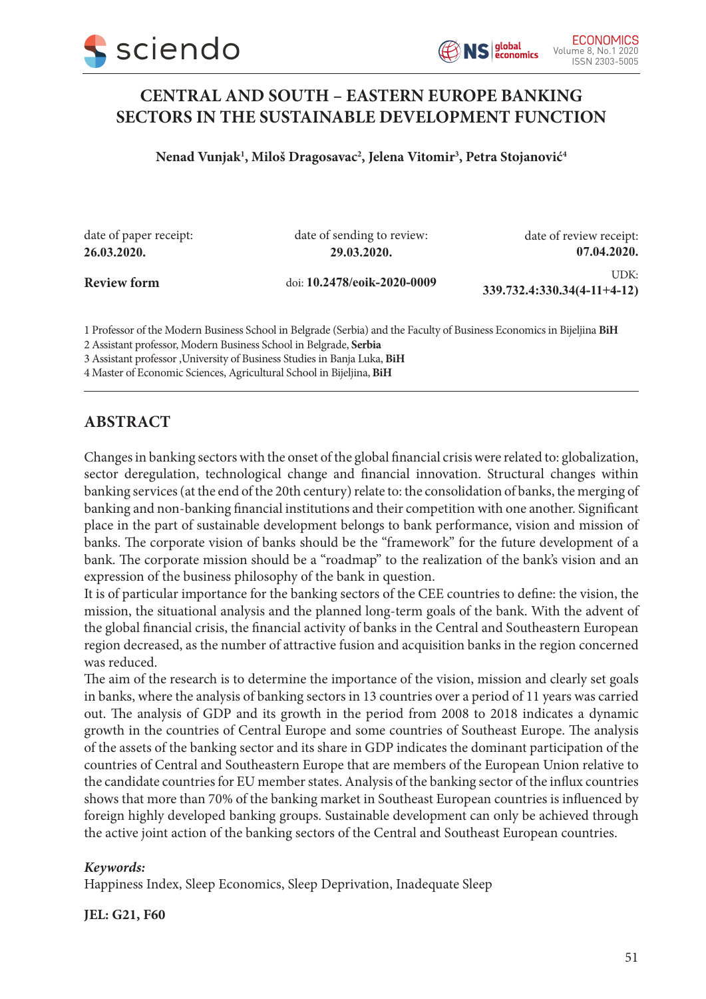



# **CENTRAL AND SOUTH – EASTERN EUROPE BANKING SECTORS IN THE SUSTAINABLE DEVELOPMENT FUNCTION**

**Nenad Vunjak1 , Miloš Dragosavac2 , Jelena Vitomir3 , Petra Stojanović4**

date of paper receipt: **26.03.2020. Review form** doi: **10.2478/eoik-2020-0009** UDK: **339.732.4:330.34(4-11+4-12)** date of sending to review: **29.03.2020.** date of review receipt: **07.04.2020.**

1 Professor of the Modern Business School in Belgrade (Serbia) and the Faculty of Business Economics in Bijeljina **BiH**

2 Assistant professor, Modern Business School in Belgrade, **Serbia**

3 Assistant professor ,University of Business Studies in Banja Luka, **BiH**

4 Master of Economic Sciences, Agricultural School in Bijeljina, **BiH**

### **ABSTRACT**

Changes in banking sectors with the onset of the global financial crisis were related to: globalization, sector deregulation, technological change and financial innovation. Structural changes within banking services (at the end of the 20th century) relate to: the consolidation of banks, the merging of banking and non-banking financial institutions and their competition with one another. Significant place in the part of sustainable development belongs to bank performance, vision and mission of banks. The corporate vision of banks should be the "framework" for the future development of a bank. The corporate mission should be a "roadmap" to the realization of the bank's vision and an expression of the business philosophy of the bank in question.

It is of particular importance for the banking sectors of the CEE countries to define: the vision, the mission, the situational analysis and the planned long-term goals of the bank. With the advent of the global financial crisis, the financial activity of banks in the Central and Southeastern European region decreased, as the number of attractive fusion and acquisition banks in the region concerned was reduced.

The aim of the research is to determine the importance of the vision, mission and clearly set goals in banks, where the analysis of banking sectors in 13 countries over a period of 11 years was carried out. The analysis of GDP and its growth in the period from 2008 to 2018 indicates a dynamic growth in the countries of Central Europe and some countries of Southeast Europe. The analysis of the assets of the banking sector and its share in GDP indicates the dominant participation of the countries of Central and Southeastern Europe that are members of the European Union relative to the candidate countries for EU member states. Analysis of the banking sector of the influx countries shows that more than 70% of the banking market in Southeast European countries is influenced by foreign highly developed banking groups. Sustainable development can only be achieved through the active joint action of the banking sectors of the Central and Southeast European countries.

#### *Keywords:*

Happiness Index, Sleep Economics, Sleep Deprivation, Inadequate Sleep

**JEL: G21, F60**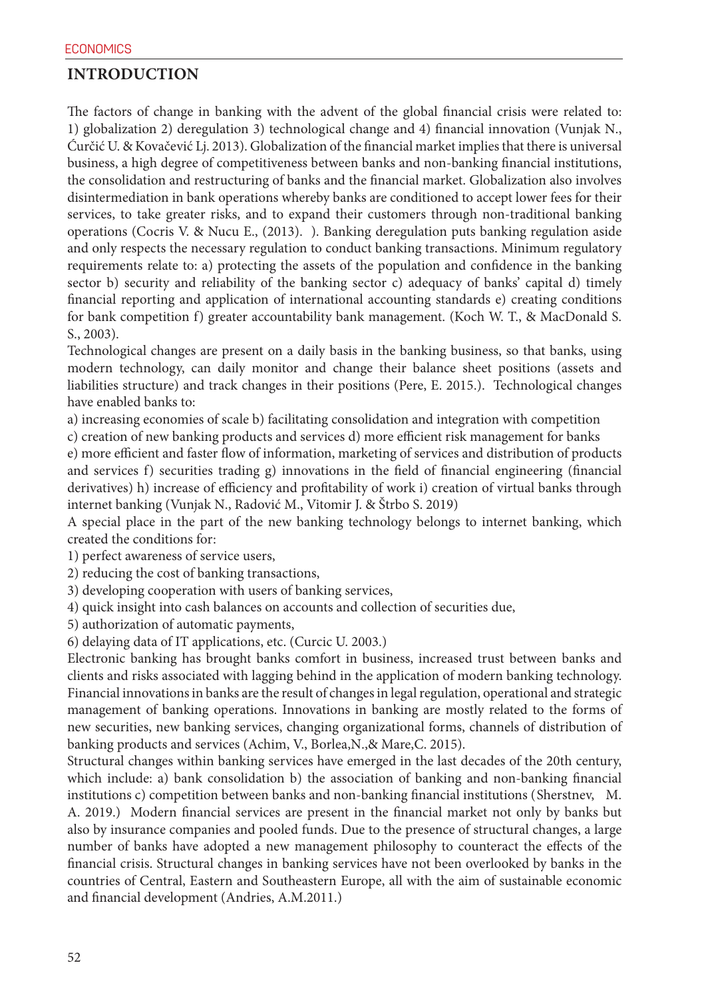### **INTRODUCTION**

The factors of change in banking with the advent of the global financial crisis were related to: 1) globalization 2) deregulation 3) technological change and 4) financial innovation (Vunjak N., Ćurčić U. & Kovačević Lj. 2013). Globalization of the financial market implies that there is universal business, a high degree of competitiveness between banks and non-banking financial institutions, the consolidation and restructuring of banks and the financial market. Globalization also involves disintermediation in bank operations whereby banks are conditioned to accept lower fees for their services, to take greater risks, and to expand their customers through non-traditional banking operations (Cocris V. & Nucu E., (2013). ). Banking deregulation puts banking regulation aside and only respects the necessary regulation to conduct banking transactions. Minimum regulatory requirements relate to: a) protecting the assets of the population and confidence in the banking sector b) security and reliability of the banking sector c) adequacy of banks' capital d) timely financial reporting and application of international accounting standards e) creating conditions for bank competition f) greater accountability bank management. (Koch W. T., & MacDonald S. S., 2003).

Technological changes are present on a daily basis in the banking business, so that banks, using modern technology, can daily monitor and change their balance sheet positions (assets and liabilities structure) and track changes in their positions (Pere, E. 2015.). Technological changes have enabled banks to:

a) increasing economies of scale b) facilitating consolidation and integration with competition

c) creation of new banking products and services d) more efficient risk management for banks

e) more efficient and faster flow of information, marketing of services and distribution of products and services f) securities trading g) innovations in the field of financial engineering (financial derivatives) h) increase of efficiency and profitability of work i) creation of virtual banks through internet banking (Vunjak N., Radović M., Vitomir J. & Štrbo S. 2019)

A special place in the part of the new banking technology belongs to internet banking, which created the conditions for:

1) perfect awareness of service users,

2) reducing the cost of banking transactions,

3) developing cooperation with users of banking services,

4) quick insight into cash balances on accounts and collection of securities due,

5) authorization of automatic payments,

6) delaying data of IT applications, etc. (Curcic U. 2003.)

Electronic banking has brought banks comfort in business, increased trust between banks and clients and risks associated with lagging behind in the application of modern banking technology. Financial innovations in banks are the result of changes in legal regulation, operational and strategic management of banking operations. Innovations in banking are mostly related to the forms of new securities, new banking services, changing organizational forms, channels of distribution of banking products and services (Achim, V., Borlea,N.,& Mare,C. 2015).

Structural changes within banking services have emerged in the last decades of the 20th century, which include: a) bank consolidation b) the association of banking and non-banking financial institutions c) competition between banks and non-banking financial institutions (Sherstnev, M. A. 2019.) Modern financial services are present in the financial market not only by banks but also by insurance companies and pooled funds. Due to the presence of structural changes, a large number of banks have adopted a new management philosophy to counteract the effects of the financial crisis. Structural changes in banking services have not been overlooked by banks in the countries of Central, Eastern and Southeastern Europe, all with the aim of sustainable economic and financial development (Andries, A.M.2011.)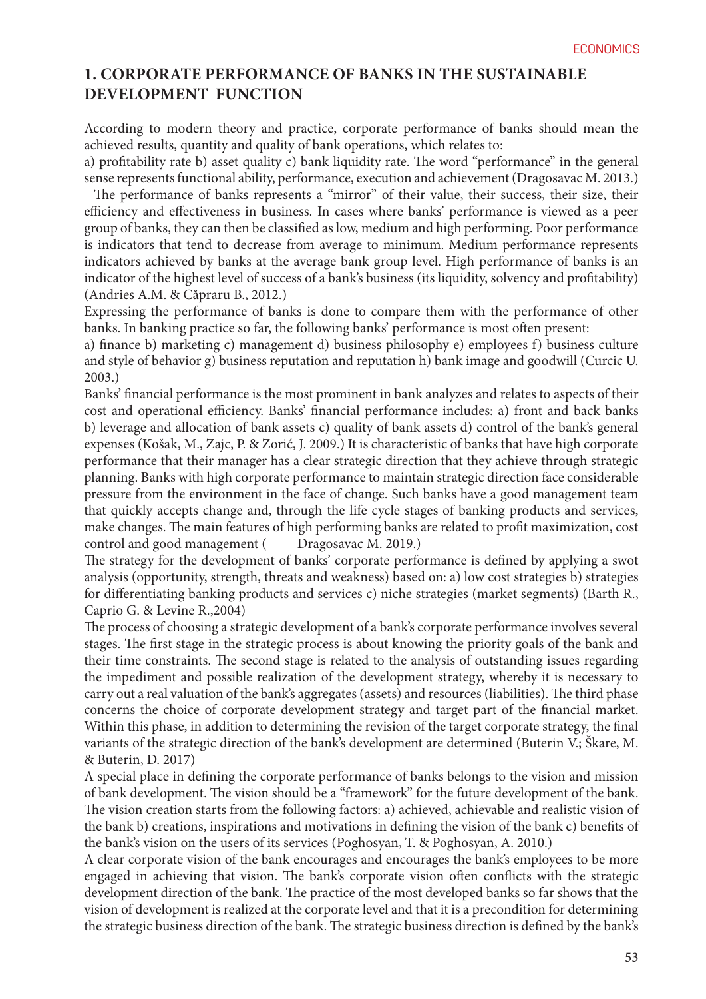## **1. CORPORATE PERFORMANCE OF BANKS IN THE SUSTAINABLE DEVELOPMENT FUNCTION**

According to modern theory and practice, corporate performance of banks should mean the achieved results, quantity and quality of bank operations, which relates to:

a) profitability rate b) asset quality c) bank liquidity rate. The word "performance" in the general sense represents functional ability, performance, execution and achievement (Dragosavac M. 2013.)

 The performance of banks represents a "mirror" of their value, their success, their size, their efficiency and effectiveness in business. In cases where banks' performance is viewed as a peer group of banks, they can then be classified as low, medium and high performing. Poor performance is indicators that tend to decrease from average to minimum. Medium performance represents indicators achieved by banks at the average bank group level. High performance of banks is an indicator of the highest level of success of a bank's business (its liquidity, solvency and profitability) (Andries A.M. & Căpraru B., 2012.)

Expressing the performance of banks is done to compare them with the performance of other banks. In banking practice so far, the following banks' performance is most often present:

a) finance b) marketing c) management d) business philosophy e) employees f) business culture and style of behavior g) business reputation and reputation h) bank image and goodwill (Curcic U. 2003.)

Banks' financial performance is the most prominent in bank analyzes and relates to aspects of their cost and operational efficiency. Banks' financial performance includes: a) front and back banks b) leverage and allocation of bank assets c) quality of bank assets d) control of the bank's general expenses (Košak, M., Zajc, P. & Zorić, J. 2009.) It is characteristic of banks that have high corporate performance that their manager has a clear strategic direction that they achieve through strategic planning. Banks with high corporate performance to maintain strategic direction face considerable pressure from the environment in the face of change. Such banks have a good management team that quickly accepts change and, through the life cycle stages of banking products and services, make changes. The main features of high performing banks are related to profit maximization, cost control and good management (Dragosavac M. 2019.)

The strategy for the development of banks' corporate performance is defined by applying a swot analysis (opportunity, strength, threats and weakness) based on: a) low cost strategies b) strategies for differentiating banking products and services c) niche strategies (market segments) (Barth R., Caprio G. & Levine R.,2004)

The process of choosing a strategic development of a bank's corporate performance involves several stages. The first stage in the strategic process is about knowing the priority goals of the bank and their time constraints. The second stage is related to the analysis of outstanding issues regarding the impediment and possible realization of the development strategy, whereby it is necessary to carry out a real valuation of the bank's aggregates (assets) and resources (liabilities). The third phase concerns the choice of corporate development strategy and target part of the financial market. Within this phase, in addition to determining the revision of the target corporate strategy, the final variants of the strategic direction of the bank's development are determined (Buterin V.; Škare, M. & Buterin, D. 2017)

A special place in defining the corporate performance of banks belongs to the vision and mission of bank development. The vision should be a "framework" for the future development of the bank. The vision creation starts from the following factors: a) achieved, achievable and realistic vision of the bank b) creations, inspirations and motivations in defining the vision of the bank c) benefits of the bank's vision on the users of its services (Poghosyan, T. & Poghosyan, A. 2010.)

A clear corporate vision of the bank encourages and encourages the bank's employees to be more engaged in achieving that vision. The bank's corporate vision often conflicts with the strategic development direction of the bank. The practice of the most developed banks so far shows that the vision of development is realized at the corporate level and that it is a precondition for determining the strategic business direction of the bank. The strategic business direction is defined by the bank's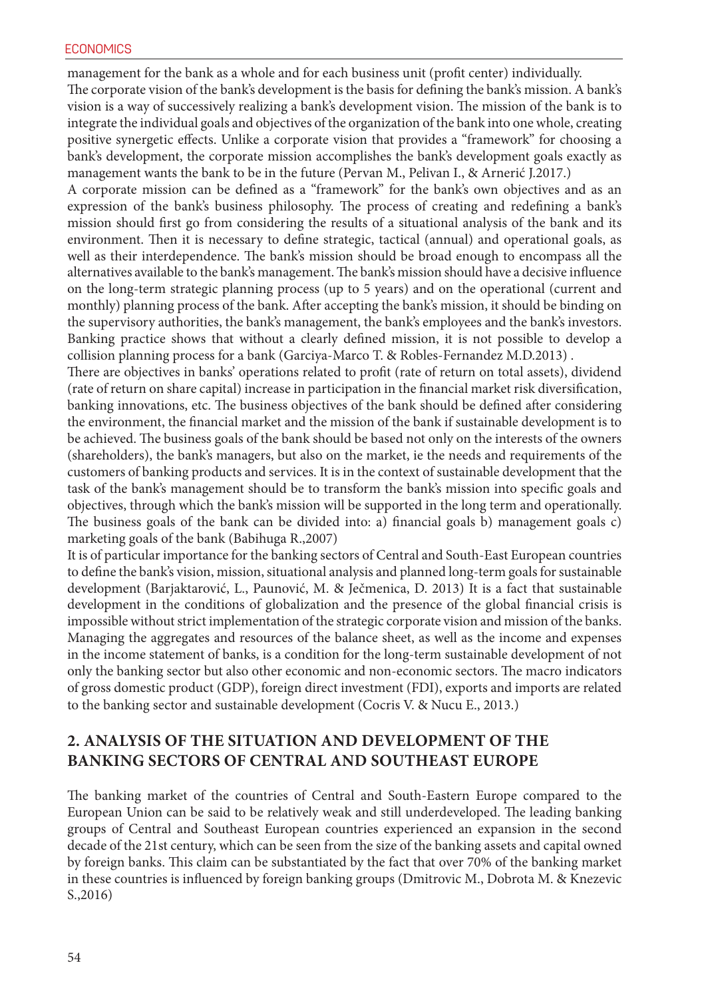management for the bank as a whole and for each business unit (profit center) individually.

The corporate vision of the bank's development is the basis for defining the bank's mission. A bank's vision is a way of successively realizing a bank's development vision. The mission of the bank is to integrate the individual goals and objectives of the organization of the bank into one whole, creating positive synergetic effects. Unlike a corporate vision that provides a "framework" for choosing a bank's development, the corporate mission accomplishes the bank's development goals exactly as management wants the bank to be in the future (Pervan M., Pelivan I., & Arnerić J.2017.)

A corporate mission can be defined as a "framework" for the bank's own objectives and as an expression of the bank's business philosophy. The process of creating and redefining a bank's mission should first go from considering the results of a situational analysis of the bank and its environment. Then it is necessary to define strategic, tactical (annual) and operational goals, as well as their interdependence. The bank's mission should be broad enough to encompass all the alternatives available to the bank's management. The bank's mission should have a decisive influence on the long-term strategic planning process (up to 5 years) and on the operational (current and monthly) planning process of the bank. After accepting the bank's mission, it should be binding on the supervisory authorities, the bank's management, the bank's employees and the bank's investors. Banking practice shows that without a clearly defined mission, it is not possible to develop a collision planning process for a bank (Garciya-Marco T. & Robles-Fernandez M.D.2013) .

There are objectives in banks' operations related to profit (rate of return on total assets), dividend (rate of return on share capital) increase in participation in the financial market risk diversification, banking innovations, etc. The business objectives of the bank should be defined after considering the environment, the financial market and the mission of the bank if sustainable development is to be achieved. The business goals of the bank should be based not only on the interests of the owners (shareholders), the bank's managers, but also on the market, ie the needs and requirements of the customers of banking products and services. It is in the context of sustainable development that the task of the bank's management should be to transform the bank's mission into specific goals and objectives, through which the bank's mission will be supported in the long term and operationally. The business goals of the bank can be divided into: a) financial goals b) management goals c) marketing goals of the bank (Babihuga R.,2007)

It is of particular importance for the banking sectors of Central and South-East European countries to define the bank's vision, mission, situational analysis and planned long-term goals for sustainable development (Barjaktarović, L., Paunović, M. & Ječmenica, D. 2013) It is a fact that sustainable development in the conditions of globalization and the presence of the global financial crisis is impossible without strict implementation of the strategic corporate vision and mission of the banks. Managing the aggregates and resources of the balance sheet, as well as the income and expenses in the income statement of banks, is a condition for the long-term sustainable development of not only the banking sector but also other economic and non-economic sectors. The macro indicators of gross domestic product (GDP), foreign direct investment (FDI), exports and imports are related to the banking sector and sustainable development (Cocris V. & Nucu E., 2013.)

### **2. ANALYSIS OF THE SITUATION AND DEVELOPMENT OF THE BANKING SECTORS OF CENTRAL AND SOUTHEAST EUROPE**

The banking market of the countries of Central and South-Eastern Europe compared to the European Union can be said to be relatively weak and still underdeveloped. The leading banking groups of Central and Southeast European countries experienced an expansion in the second decade of the 21st century, which can be seen from the size of the banking assets and capital owned by foreign banks. This claim can be substantiated by the fact that over 70% of the banking market in these countries is influenced by foreign banking groups (Dmitrovic M., Dobrota M. & Knezevic S.,2016)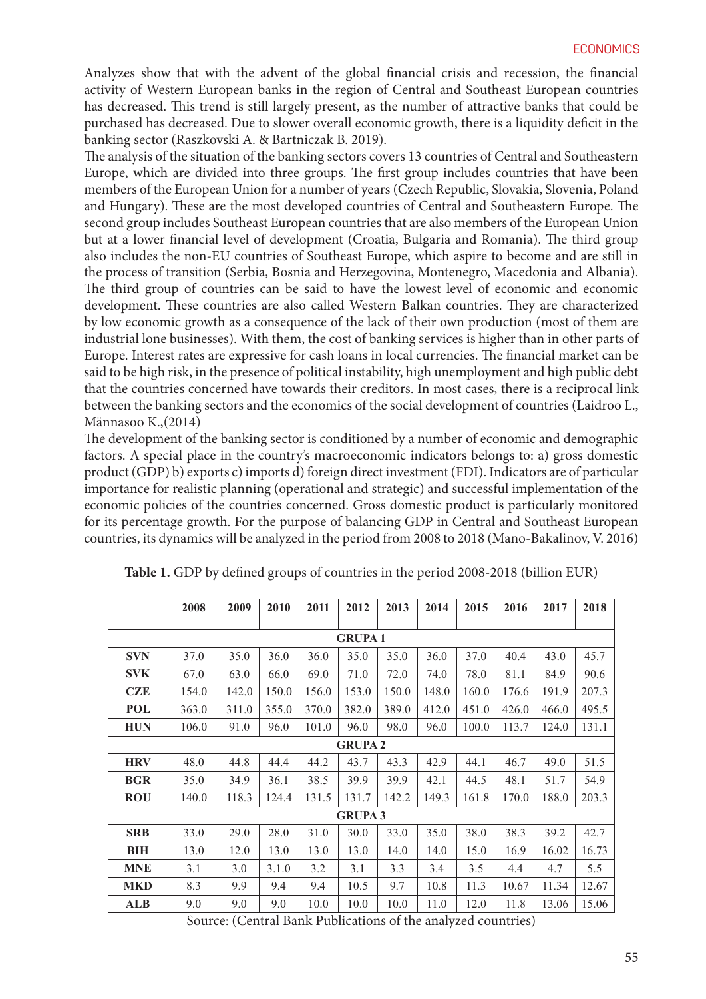Analyzes show that with the advent of the global financial crisis and recession, the financial activity of Western European banks in the region of Central and Southeast European countries has decreased. This trend is still largely present, as the number of attractive banks that could be purchased has decreased. Due to slower overall economic growth, there is a liquidity deficit in the banking sector (Raszkovski A. & Bartniczak B. 2019).

The analysis of the situation of the banking sectors covers 13 countries of Central and Southeastern Europe, which are divided into three groups. The first group includes countries that have been members of the European Union for a number of years (Czech Republic, Slovakia, Slovenia, Poland and Hungary). These are the most developed countries of Central and Southeastern Europe. The second group includes Southeast European countries that are also members of the European Union but at a lower financial level of development (Croatia, Bulgaria and Romania). The third group also includes the non-EU countries of Southeast Europe, which aspire to become and are still in the process of transition (Serbia, Bosnia and Herzegovina, Montenegro, Macedonia and Albania). The third group of countries can be said to have the lowest level of economic and economic development. These countries are also called Western Balkan countries. They are characterized by low economic growth as a consequence of the lack of their own production (most of them are industrial lone businesses). With them, the cost of banking services is higher than in other parts of Europe. Interest rates are expressive for cash loans in local currencies. The financial market can be said to be high risk, in the presence of political instability, high unemployment and high public debt that the countries concerned have towards their creditors. In most cases, there is a reciprocal link between the banking sectors and the economics of the social development of countries (Laidroo L., Männasoo K.,(2014)

The development of the banking sector is conditioned by a number of economic and demographic factors. A special place in the country's macroeconomic indicators belongs to: a) gross domestic product (GDP) b) exports c) imports d) foreign direct investment (FDI). Indicators are of particular importance for realistic planning (operational and strategic) and successful implementation of the economic policies of the countries concerned. Gross domestic product is particularly monitored for its percentage growth. For the purpose of balancing GDP in Central and Southeast European countries, its dynamics will be analyzed in the period from 2008 to 2018 (Mano-Bakalinov, V. 2016)

|                | 2008  | 2009  | 2010  | 2011  | 2012           | 2013  | 2014  | 2015  | 2016  | 2017  | 2018  |
|----------------|-------|-------|-------|-------|----------------|-------|-------|-------|-------|-------|-------|
|                |       |       |       |       |                |       |       |       |       |       |       |
| <b>GRUPA1</b>  |       |       |       |       |                |       |       |       |       |       |       |
| <b>SVN</b>     | 37.0  | 35.0  | 36.0  | 36.0  | 35.0           | 35.0  | 36.0  | 37.0  | 40.4  | 43.0  | 45.7  |
| <b>SVK</b>     | 67.0  | 63.0  | 66.0  | 69.0  | 71.0           | 72.0  | 74.0  | 78.0  | 81.1  | 84.9  | 90.6  |
| <b>CZE</b>     | 154.0 | 142.0 | 150.0 | 156.0 | 153.0          | 150.0 | 148.0 | 160.0 | 176.6 | 191.9 | 207.3 |
| POL            | 363.0 | 311.0 | 355.0 | 370.0 | 382.0          | 389.0 | 412.0 | 451.0 | 426.0 | 466.0 | 495.5 |
| <b>HUN</b>     | 106.0 | 91.0  | 96.0  | 101.0 | 96.0           | 98.0  | 96.0  | 100.0 | 113.7 | 124.0 | 131.1 |
| <b>GRUPA 2</b> |       |       |       |       |                |       |       |       |       |       |       |
| <b>HRV</b>     | 48.0  | 44.8  | 44.4  | 44.2  | 43.7           | 43.3  | 42.9  | 44.1  | 46.7  | 49.0  | 51.5  |
| <b>BGR</b>     | 35.0  | 34.9  | 36.1  | 38.5  | 39.9           | 39.9  | 42.1  | 44.5  | 48.1  | 51.7  | 54.9  |
| <b>ROU</b>     | 140.0 | 118.3 | 124.4 | 131.5 | 131.7          | 142.2 | 149.3 | 161.8 | 170.0 | 188.0 | 203.3 |
|                |       |       |       |       | <b>GRUPA 3</b> |       |       |       |       |       |       |
| <b>SRB</b>     | 33.0  | 29.0  | 28.0  | 31.0  | 30.0           | 33.0  | 35.0  | 38.0  | 38.3  | 39.2  | 42.7  |
| BIH            | 13.0  | 12.0  | 13.0  | 13.0  | 13.0           | 14.0  | 14.0  | 15.0  | 16.9  | 16.02 | 16.73 |
| <b>MNE</b>     | 3.1   | 3.0   | 3.1.0 | 3.2   | 3.1            | 3.3   | 3.4   | 3.5   | 4.4   | 4.7   | 5.5   |
| <b>MKD</b>     | 8.3   | 9.9   | 9.4   | 9.4   | 10.5           | 9.7   | 10.8  | 11.3  | 10.67 | 11.34 | 12.67 |
| <b>ALB</b>     | 9.0   | 9.0   | 9.0   | 10.0  | 10.0           | 10.0  | 11.0  | 12.0  | 11.8  | 13.06 | 15.06 |

**Table 1.** GDP by defined groups of countries in the period 2008-2018 (billion EUR)

Source: (Central Bank Publications of the analyzed countries)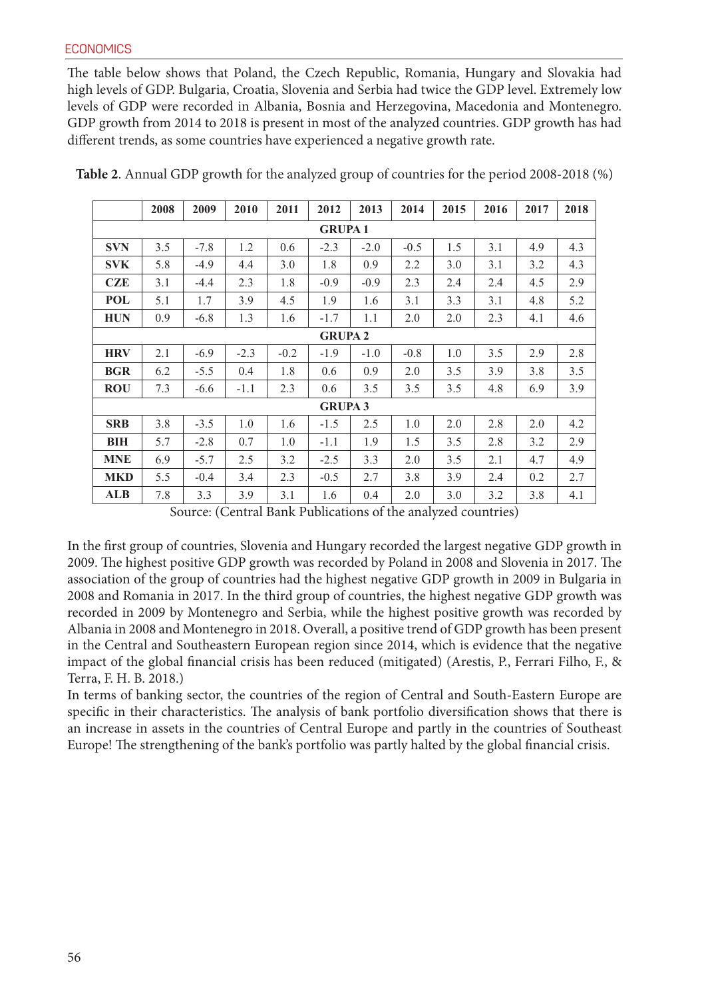#### **ECONOMICS**

The table below shows that Poland, the Czech Republic, Romania, Hungary and Slovakia had high levels of GDP. Bulgaria, Croatia, Slovenia and Serbia had twice the GDP level. Extremely low levels of GDP were recorded in Albania, Bosnia and Herzegovina, Macedonia and Montenegro. GDP growth from 2014 to 2018 is present in most of the analyzed countries. GDP growth has had different trends, as some countries have experienced a negative growth rate.

|               | 2008 | 2009   | 2010   | 2011   | 2012           | 2013   | 2014   | 2015 | 2016 | 2017 | 2018 |
|---------------|------|--------|--------|--------|----------------|--------|--------|------|------|------|------|
| <b>GRUPA1</b> |      |        |        |        |                |        |        |      |      |      |      |
| <b>SVN</b>    | 3.5  | $-7.8$ | 1.2    | 0.6    | $-2.3$         | $-2.0$ | $-0.5$ | 1.5  | 3.1  | 4.9  | 4.3  |
| <b>SVK</b>    | 5.8  | $-4.9$ | 4.4    | 3.0    | 1.8            | 0.9    | 2.2    | 3.0  | 3.1  | 3.2  | 4.3  |
| <b>CZE</b>    | 3.1  | $-4.4$ | 2.3    | 1.8    | $-0.9$         | $-0.9$ | 2.3    | 2.4  | 2.4  | 4.5  | 2.9  |
| <b>POL</b>    | 5.1  | 1.7    | 3.9    | 4.5    | 1.9            | 1.6    | 3.1    | 3.3  | 3.1  | 4.8  | 5.2  |
| <b>HUN</b>    | 0.9  | $-6.8$ | 1.3    | 1.6    | $-1.7$         | 1.1    | 2.0    | 2.0  | 2.3  | 4.1  | 4.6  |
| <b>GRUPA2</b> |      |        |        |        |                |        |        |      |      |      |      |
| <b>HRV</b>    | 2.1  | $-6.9$ | $-2.3$ | $-0.2$ | $-1.9$         | $-1.0$ | $-0.8$ | 1.0  | 3.5  | 2.9  | 2.8  |
| <b>BGR</b>    | 6.2  | $-5.5$ | 0.4    | 1.8    | 0.6            | 0.9    | 2.0    | 3.5  | 3.9  | 3.8  | 3.5  |
| <b>ROU</b>    | 7.3  | $-6.6$ | $-1.1$ | 2.3    | 0.6            | 3.5    | 3.5    | 3.5  | 4.8  | 6.9  | 3.9  |
|               |      |        |        |        | <b>GRUPA 3</b> |        |        |      |      |      |      |
| <b>SRB</b>    | 3.8  | $-3.5$ | 1.0    | 1.6    | $-1.5$         | 2.5    | 1.0    | 2.0  | 2.8  | 2.0  | 4.2  |
| BIH           | 5.7  | $-2.8$ | 0.7    | 1.0    | $-1.1$         | 1.9    | 1.5    | 3.5  | 2.8  | 3.2  | 2.9  |
| <b>MNE</b>    | 6.9  | $-5.7$ | 2.5    | 3.2    | $-2.5$         | 3.3    | 2.0    | 3.5  | 2.1  | 4.7  | 4.9  |
| <b>MKD</b>    | 5.5  | $-0.4$ | 3.4    | 2.3    | $-0.5$         | 2.7    | 3.8    | 3.9  | 2.4  | 0.2  | 2.7  |
| <b>ALB</b>    | 7.8  | 3.3    | 3.9    | 3.1    | 1.6            | 0.4    | 2.0    | 3.0  | 3.2  | 3.8  | 4.1  |

**Table 2**. Annual GDP growth for the analyzed group of countries for the period 2008-2018 (%)

Source: (Central Bank Publications of the analyzed countries)

In the first group of countries, Slovenia and Hungary recorded the largest negative GDP growth in 2009. The highest positive GDP growth was recorded by Poland in 2008 and Slovenia in 2017. The association of the group of countries had the highest negative GDP growth in 2009 in Bulgaria in 2008 and Romania in 2017. In the third group of countries, the highest negative GDP growth was recorded in 2009 by Montenegro and Serbia, while the highest positive growth was recorded by Albania in 2008 and Montenegro in 2018. Overall, a positive trend of GDP growth has been present in the Central and Southeastern European region since 2014, which is evidence that the negative impact of the global financial crisis has been reduced (mitigated) (Arestis, P., Ferrari Filho, F., & Terra, F. H. B. 2018.)

In terms of banking sector, the countries of the region of Central and South-Eastern Europe are specific in their characteristics. The analysis of bank portfolio diversification shows that there is an increase in assets in the countries of Central Europe and partly in the countries of Southeast Europe! The strengthening of the bank's portfolio was partly halted by the global financial crisis.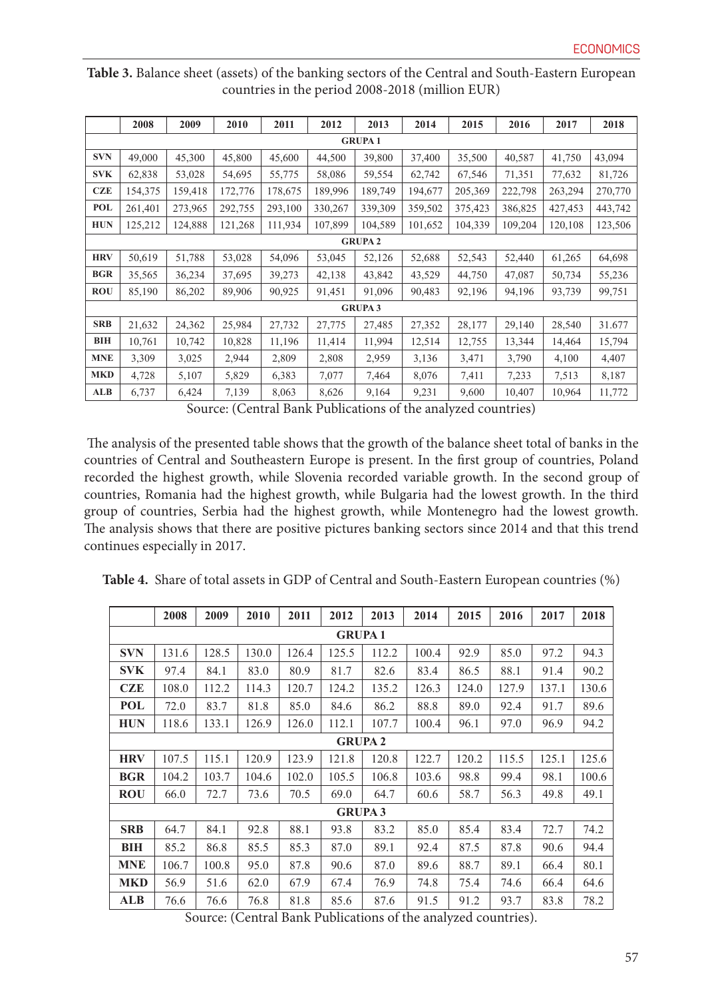|                | 2008    | 2009    | 2010    | 2011    | 2012    | 2013           | 2014    | 2015    | 2016    | 2017    | 2018    |  |
|----------------|---------|---------|---------|---------|---------|----------------|---------|---------|---------|---------|---------|--|
| <b>GRUPA1</b>  |         |         |         |         |         |                |         |         |         |         |         |  |
| <b>SVN</b>     | 49,000  | 45,300  | 45,800  | 45,600  | 44,500  | 39,800         | 37,400  | 35,500  | 40,587  | 41,750  | 43,094  |  |
| <b>SVK</b>     | 62,838  | 53,028  | 54,695  | 55,775  | 58,086  | 59,554         | 62,742  | 67,546  | 71,351  | 77,632  | 81,726  |  |
| <b>CZE</b>     | 154,375 | 159,418 | 172,776 | 178,675 | 189,996 | 189,749        | 194,677 | 205,369 | 222,798 | 263,294 | 270,770 |  |
| <b>POL</b>     | 261,401 | 273,965 | 292,755 | 293,100 | 330,267 | 339,309        | 359,502 | 375,423 | 386,825 | 427,453 | 443,742 |  |
| <b>HUN</b>     | 125,212 | 124,888 | 121,268 | 111,934 | 107,899 | 104,589        | 101,652 | 104,339 | 109,204 | 120,108 | 123,506 |  |
| <b>GRUPA 2</b> |         |         |         |         |         |                |         |         |         |         |         |  |
| <b>HRV</b>     | 50,619  | 51,788  | 53,028  | 54,096  | 53,045  | 52,126         | 52,688  | 52,543  | 52,440  | 61,265  | 64,698  |  |
| <b>BGR</b>     | 35,565  | 36,234  | 37,695  | 39,273  | 42,138  | 43,842         | 43,529  | 44,750  | 47,087  | 50,734  | 55,236  |  |
| <b>ROU</b>     | 85,190  | 86,202  | 89,906  | 90,925  | 91,451  | 91,096         | 90,483  | 92,196  | 94,196  | 93,739  | 99,751  |  |
|                |         |         |         |         |         | <b>GRUPA 3</b> |         |         |         |         |         |  |
| <b>SRB</b>     | 21,632  | 24,362  | 25,984  | 27,732  | 27,775  | 27,485         | 27,352  | 28,177  | 29,140  | 28,540  | 31.677  |  |
| BIH            | 10,761  | 10,742  | 10,828  | 11,196  | 11,414  | 11,994         | 12,514  | 12,755  | 13,344  | 14,464  | 15,794  |  |
| <b>MNE</b>     | 3,309   | 3,025   | 2,944   | 2,809   | 2,808   | 2,959          | 3,136   | 3,471   | 3,790   | 4,100   | 4,407   |  |
| <b>MKD</b>     | 4,728   | 5,107   | 5,829   | 6,383   | 7,077   | 7,464          | 8,076   | 7,411   | 7,233   | 7,513   | 8,187   |  |
| <b>ALB</b>     | 6,737   | 6,424   | 7,139   | 8,063   | 8,626   | 9,164          | 9,231   | 9,600   | 10,407  | 10,964  | 11,772  |  |

**Table 3.** Balance sheet (assets) of the banking sectors of the Central and South-Eastern European countries in the period 2008-2018 (million EUR)

Source: (Central Bank Publications of the analyzed countries)

 The analysis of the presented table shows that the growth of the balance sheet total of banks in the countries of Central and Southeastern Europe is present. In the first group of countries, Poland recorded the highest growth, while Slovenia recorded variable growth. In the second group of countries, Romania had the highest growth, while Bulgaria had the lowest growth. In the third group of countries, Serbia had the highest growth, while Montenegro had the lowest growth. The analysis shows that there are positive pictures banking sectors since 2014 and that this trend continues especially in 2017.

|  |  | Table 4. Share of total assets in GDP of Central and South-Eastern European countries (%) |  |  |  |  |  |  |
|--|--|-------------------------------------------------------------------------------------------|--|--|--|--|--|--|
|--|--|-------------------------------------------------------------------------------------------|--|--|--|--|--|--|

|                                                                                                     | 2008  | 2009  | 2010  | 2011  | 2012           | 2013  | 2014  | 2015  | 2016  | 2017  | 2018  |
|-----------------------------------------------------------------------------------------------------|-------|-------|-------|-------|----------------|-------|-------|-------|-------|-------|-------|
| <b>GRUPA1</b>                                                                                       |       |       |       |       |                |       |       |       |       |       |       |
| <b>SVN</b>                                                                                          | 131.6 | 128.5 | 130.0 | 126.4 | 125.5          | 112.2 | 100.4 | 92.9  | 85.0  | 97.2  | 94.3  |
| <b>SVK</b>                                                                                          | 97.4  | 84.1  | 83.0  | 80.9  | 81.7           | 82.6  | 83.4  | 86.5  | 88.1  | 91.4  | 90.2  |
| <b>CZE</b>                                                                                          | 108.0 | 112.2 | 114.3 | 120.7 | 124.2          | 135.2 | 126.3 | 124.0 | 127.9 | 137.1 | 130.6 |
| POL                                                                                                 | 72.0  | 83.7  | 81.8  | 85.0  | 84.6           | 86.2  | 88.8  | 89.0  | 92.4  | 91.7  | 89.6  |
| <b>HUN</b>                                                                                          | 118.6 | 133.1 | 126.9 | 126.0 | 112.1          | 107.7 | 100.4 | 96.1  | 97.0  | 96.9  | 94.2  |
| <b>GRUPA 2</b>                                                                                      |       |       |       |       |                |       |       |       |       |       |       |
| <b>HRV</b>                                                                                          | 107.5 | 115.1 | 120.9 | 123.9 | 121.8          | 120.8 | 122.7 | 120.2 | 115.5 | 125.1 | 125.6 |
| <b>BGR</b>                                                                                          | 104.2 | 103.7 | 104.6 | 102.0 | 105.5          | 106.8 | 103.6 | 98.8  | 99.4  | 98.1  | 100.6 |
| <b>ROU</b>                                                                                          | 66.0  | 72.7  | 73.6  | 70.5  | 69.0           | 64.7  | 60.6  | 58.7  | 56.3  | 49.8  | 49.1  |
|                                                                                                     |       |       |       |       | <b>GRUPA 3</b> |       |       |       |       |       |       |
| <b>SRB</b>                                                                                          | 64.7  | 84.1  | 92.8  | 88.1  | 93.8           | 83.2  | 85.0  | 85.4  | 83.4  | 72.7  | 74.2  |
| BIH                                                                                                 | 85.2  | 86.8  | 85.5  | 85.3  | 87.0           | 89.1  | 92.4  | 87.5  | 87.8  | 90.6  | 94.4  |
| <b>MNE</b>                                                                                          | 106.7 | 100.8 | 95.0  | 87.8  | 90.6           | 87.0  | 89.6  | 88.7  | 89.1  | 66.4  | 80.1  |
| <b>MKD</b>                                                                                          | 56.9  | 51.6  | 62.0  | 67.9  | 67.4           | 76.9  | 74.8  | 75.4  | 74.6  | 66.4  | 64.6  |
| ALB                                                                                                 | 76.6  | 76.6  | 76.8  | 81.8  | 85.6           | 87.6  | 91.5  | 91.2  | 93.7  | 83.8  | 78.2  |
| (0.0000100010001100010000000010001<br>$\sim$ 1 $\sim$<br>$\sim$<br>$\ldots$ . $\ldots$ . $\ldots$ . |       |       |       |       |                |       |       |       |       |       |       |

Source: (Central Bank Publications of the analyzed countries).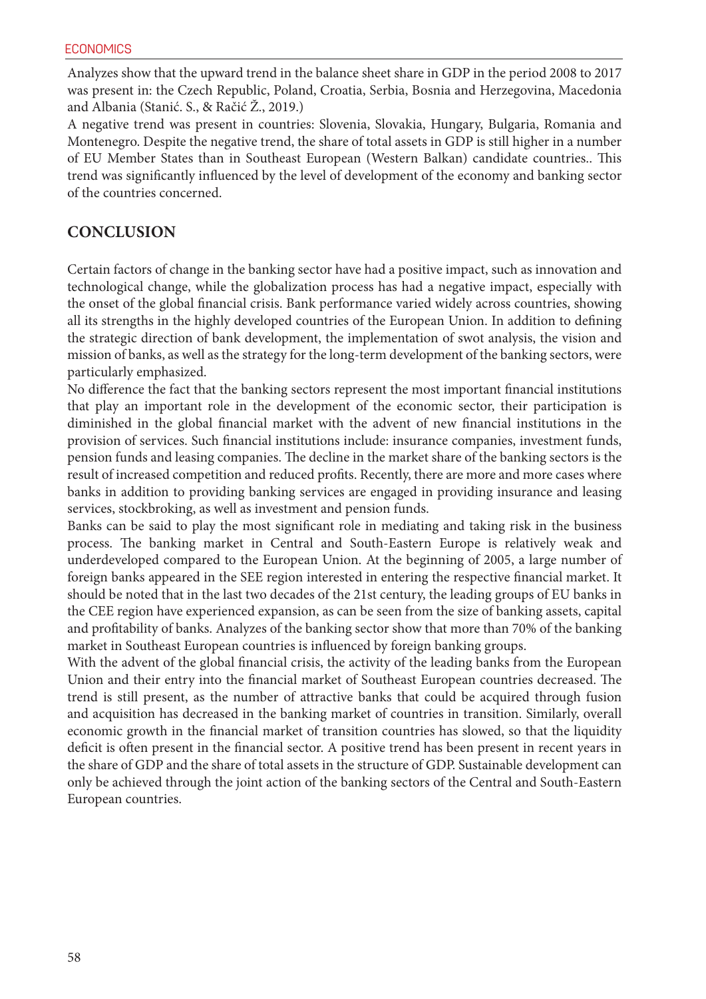Analyzes show that the upward trend in the balance sheet share in GDP in the period 2008 to 2017 was present in: the Czech Republic, Poland, Croatia, Serbia, Bosnia and Herzegovina, Macedonia and Albania (Stanić. S., & Račić Ž., 2019.)

A negative trend was present in countries: Slovenia, Slovakia, Hungary, Bulgaria, Romania and Montenegro. Despite the negative trend, the share of total assets in GDP is still higher in a number of EU Member States than in Southeast European (Western Balkan) candidate countries.. This trend was significantly influenced by the level of development of the economy and banking sector of the countries concerned.

#### **CONCLUSION**

Certain factors of change in the banking sector have had a positive impact, such as innovation and technological change, while the globalization process has had a negative impact, especially with the onset of the global financial crisis. Bank performance varied widely across countries, showing all its strengths in the highly developed countries of the European Union. In addition to defining the strategic direction of bank development, the implementation of swot analysis, the vision and mission of banks, as well as the strategy for the long-term development of the banking sectors, were particularly emphasized.

No difference the fact that the banking sectors represent the most important financial institutions that play an important role in the development of the economic sector, their participation is diminished in the global financial market with the advent of new financial institutions in the provision of services. Such financial institutions include: insurance companies, investment funds, pension funds and leasing companies. The decline in the market share of the banking sectors is the result of increased competition and reduced profits. Recently, there are more and more cases where banks in addition to providing banking services are engaged in providing insurance and leasing services, stockbroking, as well as investment and pension funds.

Banks can be said to play the most significant role in mediating and taking risk in the business process. The banking market in Central and South-Eastern Europe is relatively weak and underdeveloped compared to the European Union. At the beginning of 2005, a large number of foreign banks appeared in the SEE region interested in entering the respective financial market. It should be noted that in the last two decades of the 21st century, the leading groups of EU banks in the CEE region have experienced expansion, as can be seen from the size of banking assets, capital and profitability of banks. Analyzes of the banking sector show that more than 70% of the banking market in Southeast European countries is influenced by foreign banking groups.

With the advent of the global financial crisis, the activity of the leading banks from the European Union and their entry into the financial market of Southeast European countries decreased. The trend is still present, as the number of attractive banks that could be acquired through fusion and acquisition has decreased in the banking market of countries in transition. Similarly, overall economic growth in the financial market of transition countries has slowed, so that the liquidity deficit is often present in the financial sector. A positive trend has been present in recent years in the share of GDP and the share of total assets in the structure of GDP. Sustainable development can only be achieved through the joint action of the banking sectors of the Central and South-Eastern European countries.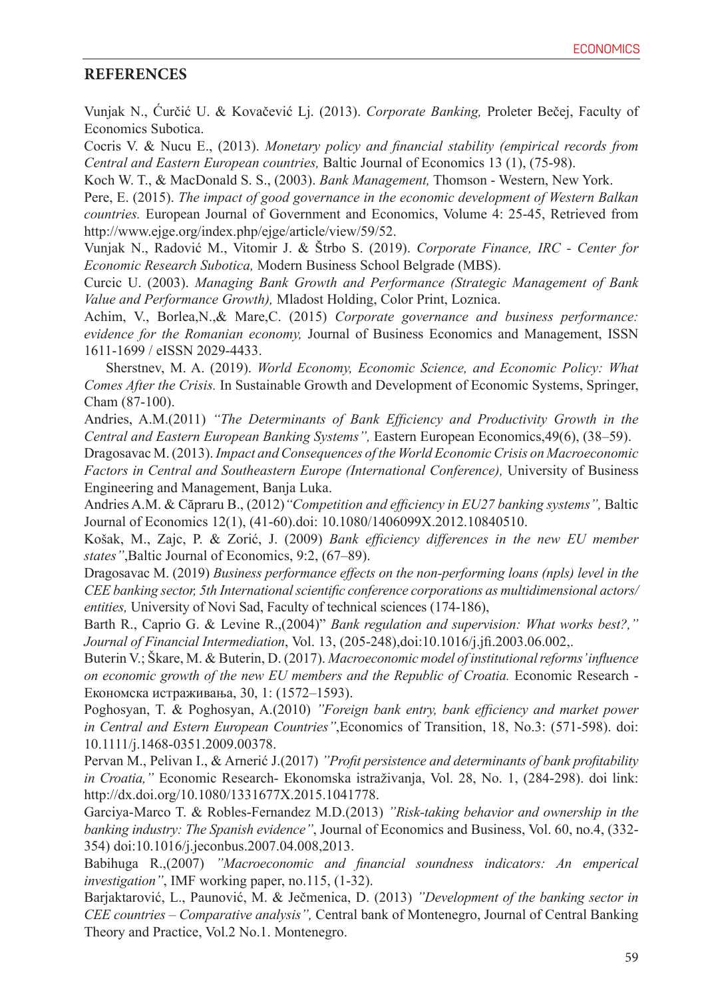#### **REFERENCES**

Vunjak N., Ćurčić U. & Kovačević Lj. (2013). *Corporate Banking,* Proleter Bečej, Faculty of Economics Subotica.

Cocris V. & Nucu E., (2013). *Monetary policy and financial stability (empirical records from Central and Eastern European countries,* Baltic Journal of Economics 13 (1), (75-98).

Koch W. T., & MacDonald S. S., (2003). *Bank Management,* Thomson - Western, New York.

Pere, E. (2015). *The impact of good governance in the economic development of Western Balkan countries.* European Journal of Government and Economics, Volume 4: 25-45, Retrieved from http://www.ejge.org/index.php/ejge/article/view/59/52.

Vunjak N., Radović M., Vitomir J. & Štrbo S. (2019). *Corporate Finance, IRC - Center for Economic Research Subotica,* Modern Business School Belgrade (MBS).

Curcic U. (2003). *Managing Bank Growth and Performance (Strategic Management of Bank Value and Performance Growth),* Mladost Holding, Color Print, Loznica.

Achim, V., Borlea,N.,& Mare,C. (2015) *Corporate governance and business performance: evidence for the Romanian economy,* Journal of Business Economics and Management, ISSN 1611-1699 / eISSN 2029-4433.

 Sherstnev, M. A. (2019). *World Economy, Economic Science, and Economic Policy: What Comes After the Crisis.* In Sustainable Growth and Development of Economic Systems, Springer, Cham (87-100).

Andries, A.M.(2011) *"The Determinants of Bank Efficiency and Productivity Growth in the Central and Eastern European Banking Systems",* Eastern European Economics,49(6), (38–59).

Dragosavac M. (2013). *Impact and Consequences of the World Economic Crisis on Macroeconomic Factors in Central and Southeastern Europe (International Conference), University of Business* Engineering and Management, Banja Luka.

Andries A.M. & Căpraru B., (2012)*"Competition and efficiency in EU27 banking systems",* Baltic Journal of Economics 12(1), (41-60).doi: 10.1080/1406099X.2012.10840510.

Košak, M., Zajc, P. & Zorić, J. (2009) *Bank efficiency differences in the new EU member states"*,Baltic Journal of Economics, 9:2, (67–89).

Dragosavac M. (2019) *Business performance effects on the non-performing loans (npls) level in the CEE banking sector, 5th International scientific conference corporations as multidimensional actors/ entities,* University of Novi Sad, Faculty of technical sciences (174-186),

Barth R., Caprio G. & Levine R.,(2004)" *Bank regulation and supervision: What works best?," Journal of Financial Intermediation*, Vol. 13, (205-248),doi:10.1016/j.jfi.2003.06.002,.

Buterin V.; Škare, M. & Buterin, D. (2017). *Macroeconomic model of institutional reforms' influence on economic growth of the new EU members and the Republic of Croatia.* Economic Research - Економска истраживања, 30, 1: (1572–1593).

Poghosyan, T. & Poghosyan, A.(2010) *"Foreign bank entry, bank efficiency and market power in Central and Estern European Countries"*,Economics of Transition, 18, No.3: (571-598). doi: 10.1111/j.1468-0351.2009.00378.

Pervan M., Pelivan I., & Arnerić J.(2017) *"Profit persistence and determinants of bank profitability in Croatia,"* Economic Research- Ekonomska istraživanja, Vol. 28, No. 1, (284-298). doi link: http://dx.doi.org/10.1080/1331677X.2015.1041778.

Garciya-Marco T. & Robles-Fernandez M.D.(2013) *"Risk-taking behavior and ownership in the banking industry: The Spanish evidence"*, Journal of Economics and Business, Vol. 60, no.4, (332- 354) doi:10.1016/j.jeconbus.2007.04.008,2013.

Babihuga R.,(2007) *"Macroeconomic and financial soundness indicators: An emperical investigation"*, IMF working paper, no.115, (1-32).

Barjaktarović, L., Paunović, M. & Ječmenica, D. (2013) *"Development of the banking sector in CEE countries – Comparative analysis",* Central bank of Montenegro, Journal of Central Banking Theory and Practice, Vol.2 No.1. Montenegro.